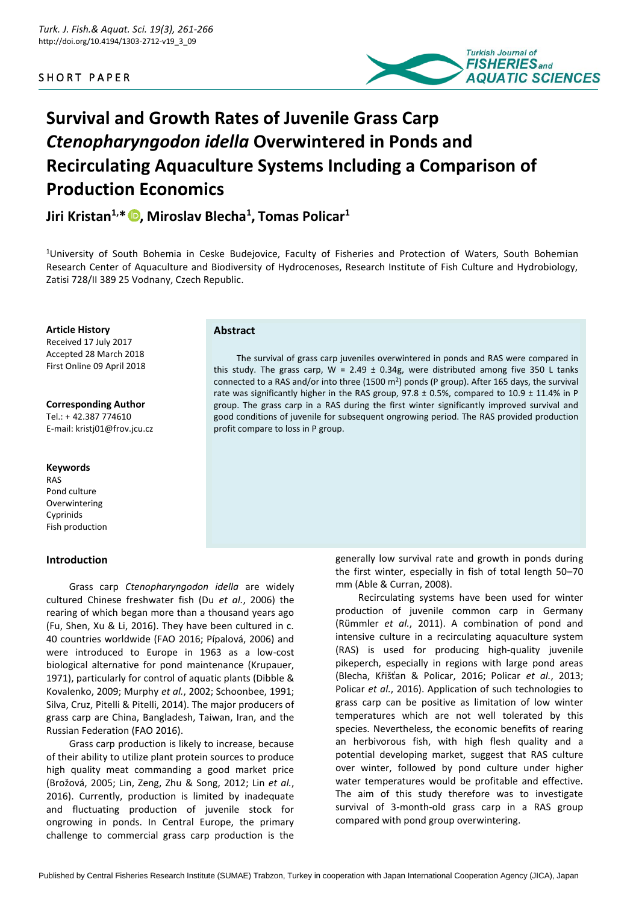SHORT PAPER



# **Survival and Growth Rates of Juvenile Grass Carp**  *Ctenopharyngodon idella* **Overwintered in Ponds and Recirculating Aquaculture Systems Including a Comparison of Production Economics**

**Jiri Kristan1,\* , Miroslav Blecha<sup>1</sup> , Tomas Policar<sup>1</sup>**

<sup>1</sup>University of South Bohemia in Ceske Budejovice, Faculty of Fisheries and Protection of Waters, South Bohemian Research Center of Aquaculture and Biodiversity of Hydrocenoses, Research Institute of Fish Culture and Hydrobiology, Zatisi 728/II 389 25 Vodnany, Czech Republic.

## **Article History**

Received 17 July 2017 Accepted 28 March 2018 First Online 09 April 2018

# **Corresponding Author**

Tel.: + 42.387 774610 E-mail: kristj01@frov.jcu.cz

#### **Keywords**

RAS Pond culture Overwintering **Cyprinids** Fish production

# **Introduction**

Grass carp *Ctenopharyngodon idella* are widely cultured Chinese freshwater fish (Du *et al.*, 2006) the rearing of which began more than a thousand years ago (Fu, Shen, Xu & Li, 2016). They have been cultured in c. 40 countries worldwide (FAO 2016; Pípalová, 2006) and were introduced to Europe in 1963 as a low-cost biological alternative for pond maintenance (Krupauer, 1971), particularly for control of aquatic plants (Dibble & Kovalenko, 2009; Murphy *et al.*, 2002; Schoonbee, 1991; Silva, Cruz, Pitelli & Pitelli, 2014). The major producers of grass carp are China, Bangladesh, Taiwan, Iran, and the Russian Federation (FAO 2016).

Grass carp production is likely to increase, because of their ability to utilize plant protein sources to produce high quality meat commanding a good market price (Brožová, 2005; Lin, Zeng, Zhu & Song, 2012; Lin *et al.*, 2016). Currently, production is limited by inadequate and fluctuating production of juvenile stock for ongrowing in ponds. In Central Europe, the primary challenge to commercial grass carp production is the

#### **Abstract**

The survival of grass carp juveniles overwintered in ponds and RAS were compared in this study. The grass carp,  $W = 2.49 \pm 0.34$ g, were distributed among five 350 L tanks connected to a RAS and/or into three (1500 m<sup>2</sup>) ponds (P group). After 165 days, the survival rate was significantly higher in the RAS group,  $97.8 \pm 0.5\%$ , compared to  $10.9 \pm 11.4\%$  in P group. The grass carp in a RAS during the first winter significantly improved survival and good conditions of juvenile for subsequent ongrowing period. The RAS provided production profit compare to loss in P group.

> generally low survival rate and growth in ponds during the first winter, especially in fish of total length 50–70 mm (Able & Curran, 2008).

Recirculating systems have been used for winter production of juvenile common carp in Germany (Rümmler *et al.*, 2011). A combination of pond and intensive culture in a recirculating aquaculture system (RAS) is used for producing high-quality juvenile pikeperch, especially in regions with large pond areas (Blecha, Křišťan & Policar, 2016; Policar *et al.*, 2013; Policar *et al.*, 2016). Application of such technologies to grass carp can be positive as limitation of low winter temperatures which are not well tolerated by this species. Nevertheless, the economic benefits of rearing an herbivorous fish, with high flesh quality and a potential developing market, suggest that RAS culture over winter, followed by pond culture under higher water temperatures would be profitable and effective. The aim of this study therefore was to investigate survival of 3-month-old grass carp in a RAS group compared with pond group overwintering.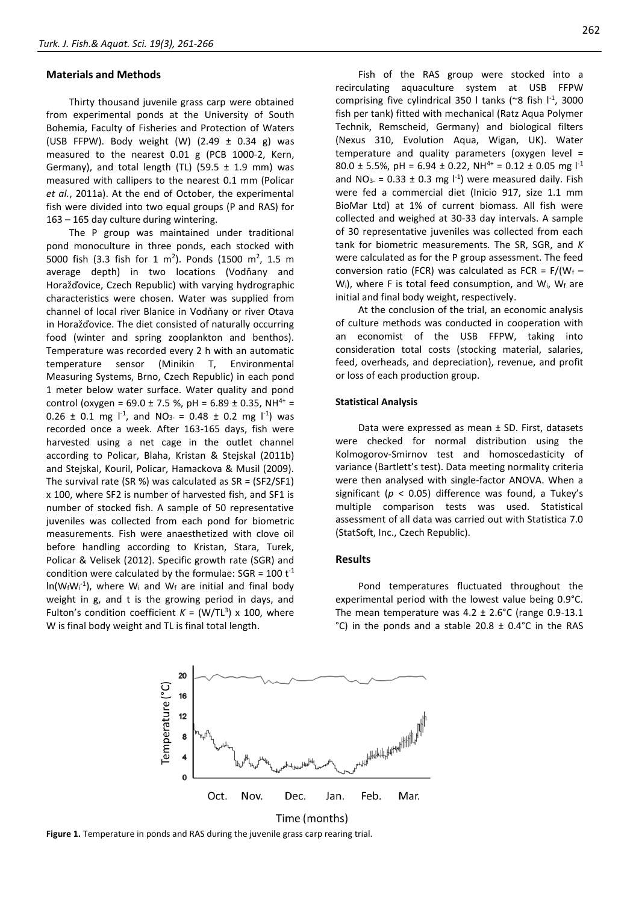#### **Materials and Methods**

Thirty thousand juvenile grass carp were obtained from experimental ponds at the University of South Bohemia, Faculty of Fisheries and Protection of Waters (USB FFPW). Body weight (W)  $(2.49 \pm 0.34 \text{ g})$  was measured to the nearest 0.01 g (PCB 1000-2, Kern, Germany), and total length (TL) (59.5  $\pm$  1.9 mm) was measured with callipers to the nearest 0.1 mm (Policar *et al.*, 2011a). At the end of October, the experimental fish were divided into two equal groups (P and RAS) for 163 – 165 day culture during wintering.

The P group was maintained under traditional pond monoculture in three ponds, each stocked with 5000 fish (3.3 fish for 1 m<sup>2</sup>). Ponds (1500 m<sup>2</sup>, 1.5 m average depth) in two locations (Vodňany and Horažďovice, Czech Republic) with varying hydrographic characteristics were chosen. Water was supplied from channel of local river Blanice in Vodňany or river Otava in Horažďovice. The diet consisted of naturally occurring food (winter and spring zooplankton and benthos). Temperature was recorded every 2 h with an automatic temperature sensor (Minikin T, Environmental Measuring Systems, Brno, Czech Republic) in each pond 1 meter below water surface. Water quality and pond control (oxygen =  $69.0 \pm 7.5$  %, pH =  $6.89 \pm 0.35$ , NH<sup>4+</sup> =  $0.26 \pm 0.1$  mg  $1^{-1}$ , and NO<sub>3</sub> = 0.48  $\pm$  0.2 mg  $1^{-1}$ ) was recorded once a week. After 163-165 days, fish were harvested using a net cage in the outlet channel according to Policar, Blaha, Kristan & Stejskal (2011b) and Stejskal, Kouril, Policar, Hamackova & Musil (2009). The survival rate (SR %) was calculated as SR = (SF2/SF1) x 100, where SF2 is number of harvested fish, and SF1 is number of stocked fish. A sample of 50 representative juveniles was collected from each pond for biometric measurements. Fish were anaesthetized with clove oil before handling according to Kristan, Stara, Turek, Policar & Velisek (2012). Specific growth rate (SGR) and condition were calculated by the formulae:  $SGR = 100 t^{-1}$  $ln(W_fW_i^{-1})$ , where  $W_i$  and  $W_f$  are initial and final body weight in g, and t is the growing period in days, and Fulton's condition coefficient  $K = (W/TL<sup>3</sup>) \times 100$ , where W is final body weight and TL is final total length.

Fish of the RAS group were stocked into a recirculating aquaculture system at USB FFPW comprising five cylindrical 350 I tanks ( $\degree$ 8 fish  $I^{-1}$ , 3000 fish per tank) fitted with mechanical (Ratz Aqua Polymer Technik, Remscheid, Germany) and biological filters (Nexus 310, Evolution Aqua, Wigan, UK). Water temperature and quality parameters (oxygen level = 80.0  $\pm$  5.5%, pH = 6.94  $\pm$  0.22, NH<sup>4+</sup> = 0.12  $\pm$  0.05 mg  $\vert$ <sup>-1</sup> and NO<sub>3</sub> = 0.33  $\pm$  0.3 mg  $\vert$ <sup>-1</sup>) were measured daily. Fish were fed a commercial diet (Inicio 917, size 1.1 mm BioMar Ltd) at 1% of current biomass. All fish were collected and weighed at 30-33 day intervals. A sample of 30 representative juveniles was collected from each tank for biometric measurements. The SR, SGR, and *K*  were calculated as for the P group assessment. The feed conversion ratio (FCR) was calculated as FCR =  $F/(W_f -$ W<sub>i</sub>), where F is total feed consumption, and W<sub>i</sub>, W<sub>f</sub> are initial and final body weight, respectively.

At the conclusion of the trial, an economic analysis of culture methods was conducted in cooperation with an economist of the USB FFPW, taking into consideration total costs (stocking material, salaries, feed, overheads, and depreciation), revenue, and profit or loss of each production group.

#### **Statistical Analysis**

Data were expressed as mean ± SD. First, datasets were checked for normal distribution using the Kolmogorov-Smirnov test and homoscedasticity of variance (Bartlett's test). Data meeting normality criteria were then analysed with single-factor ANOVA. When a significant (*p* < 0.05) difference was found, a Tukey's multiple comparison tests was used. Statistical assessment of all data was carried out with Statistica 7.0 (StatSoft, Inc., Czech Republic).

#### **Results**

Pond temperatures fluctuated throughout the experimental period with the lowest value being 0.9°C. The mean temperature was  $4.2 \pm 2.6^{\circ}$ C (range 0.9-13.1  $^{\circ}$ C) in the ponds and a stable 20.8  $\pm$  0.4 $^{\circ}$ C in the RAS



**Figure 1.** Temperature in ponds and RAS during the juvenile grass carp rearing trial.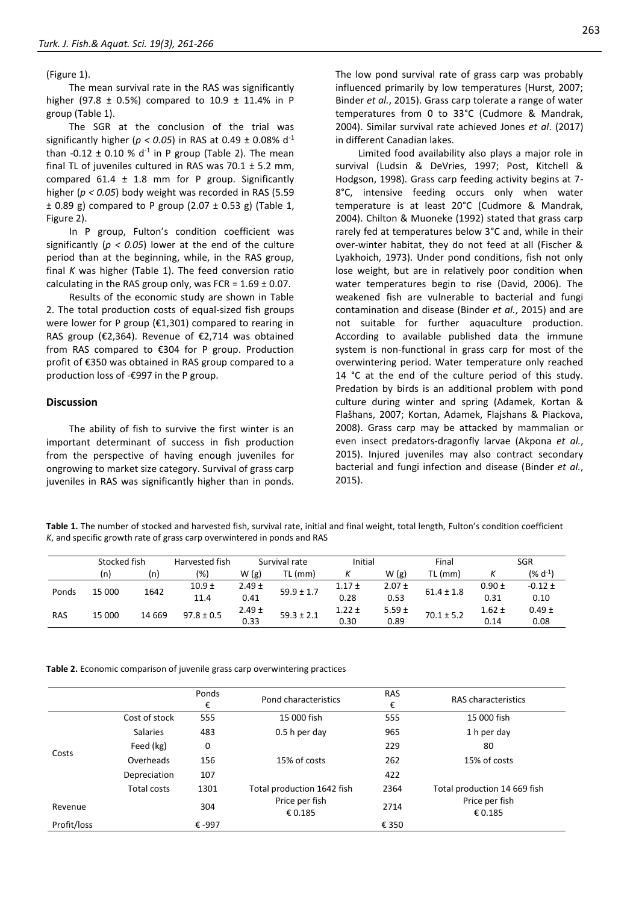#### (Figure 1).

The mean survival rate in the RAS was significantly higher (97.8  $\pm$  0.5%) compared to 10.9  $\pm$  11.4% in P group (Table 1).

The SGR at the conclusion of the trial was significantly higher ( $p < 0.05$ ) in RAS at 0.49  $\pm$  0.08% d<sup>-1</sup> than  $-0.12 \pm 0.10$  % d<sup>-1</sup> in P group (Table 2). The mean final TL of juveniles cultured in RAS was  $70.1 \pm 5.2$  mm, compared  $61.4 \pm 1.8$  mm for P group. Significantly higher (*p < 0.05*) body weight was recorded in RAS (5.59  $\pm$  0.89 g) compared to P group (2.07  $\pm$  0.53 g) (Table 1, Figure 2).

In P group, Fulton's condition coefficient was significantly ( $p < 0.05$ ) lower at the end of the culture period than at the beginning, while, in the RAS group, final *K* was higher (Table 1). The feed conversion ratio calculating in the RAS group only, was FCR =  $1.69 \pm 0.07$ .

Results of the economic study are shown in Table 2. The total production costs of equal-sized fish groups were lower for P group (€1,301) compared to rearing in RAS group (€2,364). Revenue of €2,714 was obtained from RAS compared to €304 for P group. Production profit of €350 was obtained in RAS group compared to a production loss of -€997 in the P group.

## **Discussion**

The ability of fish to survive the first winter is an important determinant of success in fish production from the perspective of having enough juveniles for ongrowing to market size category. Survival of grass carp juveniles in RAS was significantly higher than in ponds.

The low pond survival rate of grass carp was probably influenced primarily by low temperatures (Hurst, 2007; Binder *et al.*, 2015). Grass carp tolerate a range of water temperatures from 0 to 33°C (Cudmore & Mandrak, 2004). Similar survival rate achieved Jones *et al*. (2017) in different Canadian lakes.

Limited food availability also plays a major role in survival (Ludsin & DeVries, 1997; Post, Kitchell & Hodgson, 1998). Grass carp feeding activity begins at 7- 8°C, intensive feeding occurs only when water temperature is at least 20°C (Cudmore & Mandrak, 2004). Chilton & Muoneke (1992) stated that grass carp rarely fed at temperatures below 3°C and, while in their over-winter habitat, they do not feed at all (Fischer & Lyakhoich, 1973). Under pond conditions, fish not only lose weight, but are in relatively poor condition when water temperatures begin to rise (David, 2006). The weakened fish are vulnerable to bacterial and fungi contamination and disease (Binder *et al.*, 2015) and are not suitable for further aquaculture production. According to available published data the immune system is non-functional in grass carp for most of the overwintering period. Water temperature only reached 14 °C at the end of the culture period of this study. Predation by birds is an additional problem with pond culture during winter and spring (Adamek, Kortan & Flašhans, 2007; Kortan, Adamek, Flajshans & Piackova, 2008). Grass carp may be attacked by mammalian or even insect predators-dragonfly larvae (Akpona *et al.*, 2015). Injured juveniles may also contract secondary bacterial and fungi infection and disease (Binder *et al.*, 2015).

**Table 1.** The number of stocked and harvested fish, survival rate, initial and final weight, total length, Fulton's condition coefficient *K*, and specific growth rate of grass carp overwintered in ponds and RAS

|            | Stocked fish |         | Harvested fish | Survival rate |                | Initial    |            | Final          |            | <b>SGR</b>   |
|------------|--------------|---------|----------------|---------------|----------------|------------|------------|----------------|------------|--------------|
|            | (n)          | (n)     | (% )           | W(g)          | TL (mm)        |            | W(g)       | TL (mm)        |            | $(% d^{-1})$ |
| Ponds      | 15 000       | 1642    | $10.9 +$       | $2.49 \pm$    | $59.9 \pm 1.7$ | $1.17 \pm$ | $2.07 \pm$ | $61.4 \pm 1.8$ | $0.90 \pm$ | $-0.12 \pm$  |
|            |              |         | 11.4           | 0.41          | 0.28           | 0.53       |            | 0.31           | 0.10       |              |
| <b>RAS</b> | 15 000       | 14 6 69 | $97.8 \pm 0.5$ | $2.49 \pm$    | $59.3 \pm 2.1$ | $1.22 \pm$ | $5.59 \pm$ | $70.1 \pm 5.2$ | $1.62 \pm$ | $0.49 \pm$   |
|            |              |         |                | 0.33          |                | 0.30       | 0.89       |                | 0.14       | 0.08         |

**Table 2.** Economic comparison of juvenile grass carp overwintering practices

|             |                 | Ponds<br>€ | Pond characteristics       | <b>RAS</b><br>€ | RAS characteristics          |
|-------------|-----------------|------------|----------------------------|-----------------|------------------------------|
|             | Cost of stock   | 555        | 15 000 fish                | 555             | 15 000 fish                  |
|             | <b>Salaries</b> | 483        | $0.5h$ per day             | 965             | 1 h per day                  |
|             | Feed (kg)       | 0          |                            | 229             | 80                           |
| Costs       | Overheads       | 156        | 15% of costs               | 262             | 15% of costs                 |
|             | Depreciation    | 107        |                            | 422             |                              |
|             | Total costs     | 1301       | Total production 1642 fish | 2364            | Total production 14 669 fish |
| Revenue     |                 | 304        | Price per fish<br>€ 0.185  | 2714            | Price per fish<br>€ 0.185    |
| Profit/loss |                 | € -997     |                            | € 350           |                              |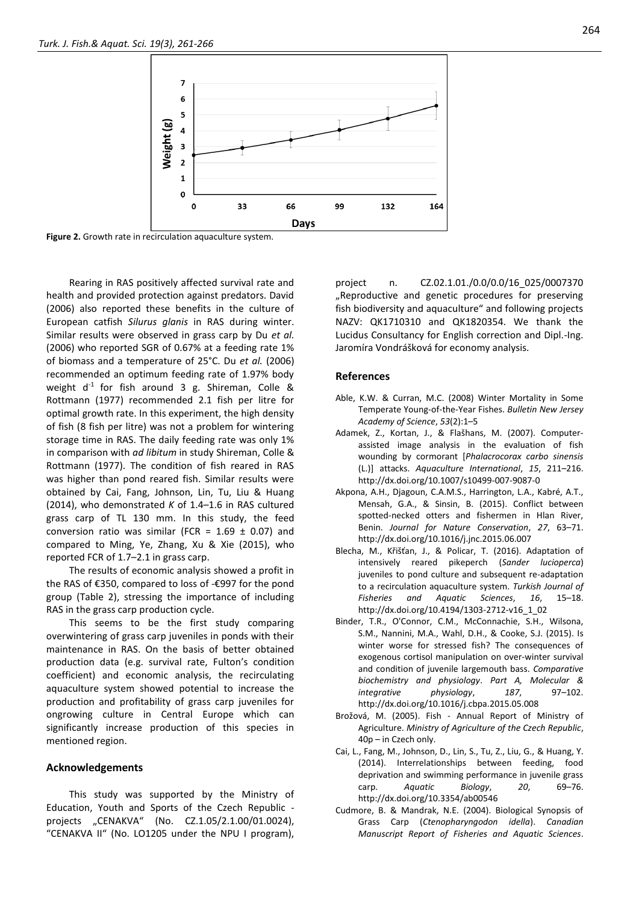

**Figure 2.** Growth rate in recirculation aquaculture system.

Rearing in RAS positively affected survival rate and health and provided protection against predators. David (2006) also reported these benefits in the culture of European catfish *Silurus glanis* in RAS during winter. Similar results were observed in grass carp by Du *et al.* (2006) who reported SGR of 0.67% at a feeding rate 1% of biomass and a temperature of 25°C. Du *et al.* (2006) recommended an optimum feeding rate of 1.97% body weight  $d^{-1}$  for fish around 3 g. Shireman, Colle & Rottmann (1977) recommended 2.1 fish per litre for optimal growth rate. In this experiment, the high density of fish (8 fish per litre) was not a problem for wintering storage time in RAS. The daily feeding rate was only 1% in comparison with *ad libitum* in study Shireman, Colle & Rottmann (1977). The condition of fish reared in RAS was higher than pond reared fish. Similar results were obtained by Cai, Fang, Johnson, Lin, Tu, Liu & Huang (2014), who demonstrated *K* of 1.4–1.6 in RAS cultured grass carp of TL 130 mm. In this study, the feed conversion ratio was similar (FCR =  $1.69 \pm 0.07$ ) and compared to Ming, Ye, Zhang, Xu & Xie (2015), who reported FCR of 1.7–2.1 in grass carp.

The results of economic analysis showed a profit in the RAS of €350, compared to loss of -€997 for the pond group (Table 2), stressing the importance of including RAS in the grass carp production cycle.

This seems to be the first study comparing overwintering of grass carp juveniles in ponds with their maintenance in RAS. On the basis of better obtained production data (e.g. survival rate, Fulton's condition coefficient) and economic analysis, the recirculating aquaculture system showed potential to increase the production and profitability of grass carp juveniles for ongrowing culture in Central Europe which can significantly increase production of this species in mentioned region.

# **Acknowledgements**

This study was supported by the Ministry of Education, Youth and Sports of the Czech Republic projects "CENAKVA" (No. CZ.1.05/2.1.00/01.0024), "CENAKVA II" (No. LO1205 under the NPU I program),

project n. CZ.02.1.01./0.0/0.0/16\_025/0007370 "Reproductive and genetic procedures for preserving fish biodiversity and aquaculture" and following projects NAZV: QK1710310 and QK1820354. We thank the Lucidus Consultancy for English correction and Dipl.-Ing. Jaromíra Vondrášková for economy analysis.

#### **References**

- Able, K.W. & Curran, M.C. (2008) Winter Mortality in Some Temperate Young-of-the-Year Fishes. *Bulletin New Jersey Academy of Science*, *53*(2):1–5
- Adamek, Z., Kortan, J., & Flašhans, M. (2007). Computerassisted image analysis in the evaluation of fish wounding by cormorant [*Phalacrocorax carbo sinensis* (L.)] attacks. *Aquaculture International*, *15*, 211–216. http://dx.doi.org/10.1007/s10499-007-9087-0
- Akpona, A.H., Djagoun, C.A.M.S., Harrington, L.A., Kabré, A.T., Mensah, G.A., & Sinsin, B. (2015). Conflict between spotted-necked otters and fishermen in Hlan River, Benin. *Journal for Nature Conservation*, *27*, 63–71. http://dx.doi.org/10.1016/j.jnc.2015.06.007
- Blecha, M., Křišťan, J., & Policar, T. (2016). Adaptation of intensively reared pikeperch (*Sander lucioperca*) juveniles to pond culture and subsequent re-adaptation to a recirculation aquaculture system. *Turkish Journal of Fisheries and Aquatic Sciences*, *16*, 15–18. http://dx.doi.org/10.4194/1303-2712-v16\_1\_02
- Binder, T.R., O'Connor, C.M., McConnachie, S.H., Wilsona, S.M., Nannini, M.A., Wahl, D.H., & Cooke, S.J. (2015). Is winter worse for stressed fish? The consequences of exogenous cortisol manipulation on over-winter survival and condition of juvenile largemouth bass. *Comparative biochemistry and physiology*. *Part A, Molecular & integrative physiology*, *187*, 97–102. http://dx.doi.org/10.1016/j.cbpa.2015.05.008
- Brožová, M. (2005). Fish Annual Report of Ministry of Agriculture. *Ministry of Agriculture of the Czech Republic*, 40p – in Czech only.
- Cai, L., Fang, M., Johnson, D., Lin, S., Tu, Z., Liu, G., & Huang, Y. (2014). Interrelationships between feeding, food deprivation and swimming performance in juvenile grass carp. *Aquatic Biology*, *20*, 69–76. http://dx.doi.org/10.3354/ab00546
- Cudmore, B. & Mandrak, N.E. (2004). Biological Synopsis of Grass Carp (*Ctenopharyngodon idella*). *Canadian Manuscript Report of Fisheries and Aquatic Sciences*.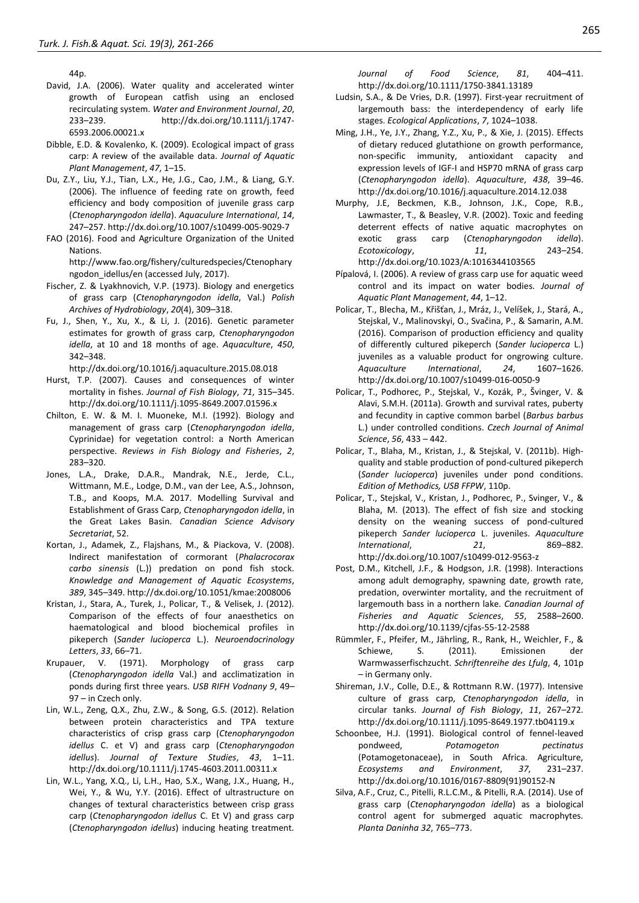44p.

- David, J.A. (2006). Water quality and accelerated winter growth of European catfish using an enclosed recirculating system. *Water and Environment Journal*, *20*, 233–239. http://dx.doi.org/10.1111/j.1747- 6593.2006.00021.x
- Dibble, E.D. & Kovalenko, K. (2009). Ecological impact of grass carp: A review of the available data. *Journal of Aquatic Plant Management*, *47*, 1–15.
- Du, Z.Y., Liu, Y.J., Tian, L.X., He, J.G., Cao, J.M., & Liang, G.Y. (2006). The influence of feeding rate on growth, feed efficiency and body composition of juvenile grass carp (*Ctenopharyngodon idella*). *Aquaculure International*, *14*, 247–257. http://dx.doi.org/10.1007/s10499-005-9029-7
- FAO (2016). Food and Agriculture Organization of the United Nations.

http://www.fao.org/fishery/culturedspecies/Ctenophary ngodon idellus/en (accessed July, 2017).

- Fischer, Z. & Lyakhnovich, V.P. (1973). Biology and energetics of grass carp (*Ctenopharyngodon idella*, Val.) *Polish Archives of Hydrobiology*, *20*(4), 309–318.
- Fu, J., Shen, Y., Xu, X., & Li, J. (2016). Genetic parameter estimates for growth of grass carp, *Ctenopharyngodon idella*, at 10 and 18 months of age. *Aquaculture*, *450*, 342–348.

http://dx.doi.org/10.1016/j.aquaculture.2015.08.018

- Hurst, T.P. (2007). Causes and consequences of winter mortality in fishes. *Journal of Fish Biology*, *71*, 315–345. http://dx.doi.org/10.1111/j.1095-8649.2007.01596.x
- Chilton, E. W. & M. I. Muoneke, M.I. (1992). Biology and management of grass carp (*Ctenopharyngodon idella*, Cyprinidae) for vegetation control: a North American perspective. *Reviews in Fish Biology and Fisheries*, *2*, 283–320.
- Jones, L.A., Drake, D.A.R., Mandrak, N.E., Jerde, C.L., Wittmann, M.E., Lodge, D.M., van der Lee, A.S., Johnson, T.B., and Koops, M.A. 2017. Modelling Survival and Establishment of Grass Carp, *Ctenopharyngodon idella*, in the Great Lakes Basin. *Canadian Science Advisory Secretariat*, 52.
- Kortan, J., Adamek, Z., Flajshans, M., & Piackova, V. (2008). Indirect manifestation of cormorant (*Phalacrocorax carbo sinensis* (L.)) predation on pond fish stock. *Knowledge and Management of Aquatic Ecosystems*, *389*, 345–349. http://dx.doi.org/10.1051/kmae:2008006
- Kristan, J., Stara, A., Turek, J., Policar, T., & Velisek, J. (2012). Comparison of the effects of four anaesthetics on haematological and blood biochemical profiles in pikeperch (*Sander lucioperca* L.). *Neuroendocrinology Letters*, *33*, 66–71.
- Krupauer, V. (1971). Morphology of grass carp (*Ctenopharyngodon idella* Val.) and acclimatization in ponds during first three years. *USB RIFH Vodnany 9*, 49– 97 – in Czech only.
- Lin, W.L., Zeng, Q.X., Zhu, Z.W., & Song, G.S. (2012). Relation between protein characteristics and TPA texture characteristics of crisp grass carp (*Ctenopharyngodon idellus* C. et V) and grass carp (*Ctenopharyngodon idellus*). *Journal of Texture Studies*, *43*, 1–11. http://dx.doi.org/10.1111/j.1745-4603.2011.00311.x
- Lin, W.L., Yang, X.Q., Li, L.H., Hao, S.X., Wang, J.X., Huang, H., Wei, Y., & Wu, Y.Y. (2016). Effect of ultrastructure on changes of textural characteristics between crisp grass carp (*Ctenopharyngodon idellus* C. Et V) and grass carp (*Ctenopharyngodon idellus*) inducing heating treatment.

*Journal of Food Science*, *81*, 404–411. http://dx.doi.org/10.1111/1750-3841.13189

- Ludsin, S.A., & De Vries, D.R. (1997). First-year recruitment of largemouth bass: the interdependency of early life stages. *Ecological Applications*, *7*, 1024–1038.
- Ming, J.H., Ye, J.Y., Zhang, Y.Z., Xu, P., & Xie, J. (2015). Effects of dietary reduced glutathione on growth performance, non-specific immunity, antioxidant capacity and expression levels of IGF-I and HSP70 mRNA of grass carp (*Ctenopharyngodon idella*). *Aquaculture*, *438*, 39–46. http://dx.doi.org/10.1016/j.aquaculture.2014.12.038
- Murphy, J.E, Beckmen, K.B., Johnson, J.K., Cope, R.B., Lawmaster, T., & Beasley, V.R. (2002). Toxic and feeding deterrent effects of native aquatic macrophytes on exotic grass carp (*Ctenopharyngodon idella*). *Ecotoxicology*, *11*, 243–254. http://dx.doi.org/10.1023/A:1016344103565
- Pípalová, I. (2006). A review of grass carp use for aquatic weed control and its impact on water bodies. *Journal of Aquatic Plant Management*, *44*, 1–12.
- Policar, T., Blecha, M., Křišťan, J., Mráz, J., Velíšek, J., Stará, A., Stejskal, V., Malinovskyi, O., Svačina, P., & Samarin, A.M. (2016). Comparison of production efficiency and quality of differently cultured pikeperch (*Sander lucioperca* L.) juveniles as a valuable product for ongrowing culture. *Aquaculture International*, *24*, 1607–1626. http://dx.doi.org/10.1007/s10499-016-0050-9
- Policar, T., Podhorec, P., Stejskal, V., Kozák, P., Švinger, V. & Alavi, S.M.H. (2011a). Growth and survival rates, puberty and fecundity in captive common barbel (*Barbus barbus*  L.) under controlled conditions. *Czech Journal of Animal Science*, *56*, 433 – 442.
- Policar, T., Blaha, M., Kristan, J., & Stejskal, V. (2011b). Highquality and stable production of pond-cultured pikeperch (*Sander lucioperca*) juveniles under pond conditions. *Edition of Methodics, USB FFPW*, 110p.
- Policar, T., Stejskal, V., Kristan, J., Podhorec, P., Svinger, V., & Blaha, M. (2013). The effect of fish size and stocking density on the weaning success of pond-cultured pikeperch *Sander lucioperca* L. juveniles. *Aquaculture International*, *21*, 869–882. http://dx.doi.org/10.1007/s10499-012-9563-z
- Post, D.M., Kitchell, J.F., & Hodgson, J.R. (1998). Interactions among adult demography, spawning date, growth rate, predation, overwinter mortality, and the recruitment of largemouth bass in a northern lake. *Canadian Journal of Fisheries and Aquatic Sciences*, *55*, 2588–2600. http://dx.doi.org/10.1139/cjfas-55-12-2588
- Rümmler, F., Pfeifer, M., Jährling, R., Rank, H., Weichler, F., & Schiewe, S. (2011). Emissionen der Warmwasserfischzucht. *Schriftenreihe des Lfulg*, 4, 101p – in Germany only.
- Shireman, J.V., Colle, D.E., & Rottmann R.W. (1977). Intensive culture of grass carp, *Ctenopharyngodon idella*, in circular tanks. *Journal of Fish Biology*, *11*, 267–272. http://dx.doi.org/10.1111/j.1095-8649.1977.tb04119.x
- Schoonbee, H.J. (1991). Biological control of fennel-leaved pondweed, *Potamogeton pectinatus* (Potamogetonaceae), in South Africa. Agriculture, *Ecosystems and Environment*, *37*, 231–237. http://dx.doi.org/10.1016/0167-8809(91)90152-N
- Silva, A.F., Cruz, C., Pitelli, R.L.C.M., & Pitelli, R.A. (2014). Use of grass carp (*Ctenopharyngodon idella*) as a biological control agent for submerged aquatic macrophytes. *Planta Daninha 32*, 765–773.